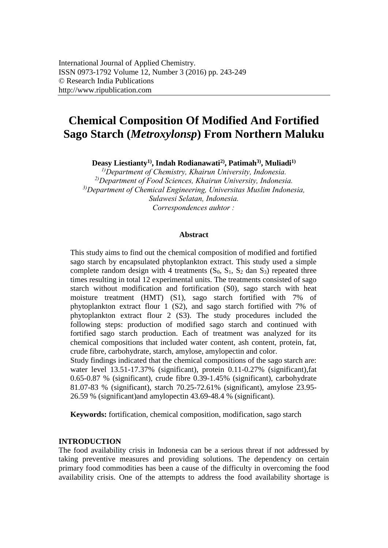# **Chemical Composition Of Modified And Fortified Sago Starch (***Metroxylonsp***) From Northern Maluku**

**Deasy Liestianty1), Indah Rodianawati2), Patimah3), Muliadi1)**

*1)Department of Chemistry, Khairun University, Indonesia. 2)Department of Food Sciences, Khairun University, Indonesia. 3)Department of Chemical Engineering, Universitas Muslim Indonesia, Sulawesi Selatan, Indonesia. Correspondences [auhtor :](mailto:muliadi@unkhair.ac.id)* 

#### **Abstract**

This study aims to find out the chemical composition of modified and fortified sago starch by encapsulated phytoplankton extract. This study used a simple complete random design with 4 treatments  $(S_0, S_1, S_2$  dan  $S_3$ ) repeated three times resulting in total 12 experimental units. The treatments consisted of sago starch without modification and fortification (S0), sago starch with heat moisture treatment (HMT) (S1), sago starch fortified with 7% of phytoplankton extract flour 1 (S2), and sago starch fortified with 7% of phytoplankton extract flour 2 (S3). The study procedures included the following steps: production of modified sago starch and continued with fortified sago starch production. Each of treatment was analyzed for its chemical compositions that included water content, ash content, protein, fat, crude fibre, carbohydrate, starch, amylose, amylopectin and color.

Study findings indicated that the chemical compositions of the sago starch are: water level 13.51-17.37% (significant), protein 0.11-0.27% (significant),fat 0.65-0.87 % (significant), crude fibre 0.39-1.45% (significant), carbohydrate 81.07-83 % (significant), starch 70.25-72.61% (significant), amylose 23.95- 26.59 % (significant)and amylopectin 43.69-48.4 % (significant).

**Keywords:** fortification, chemical composition, modification, sago starch

## **INTRODUCTION**

The food availability crisis in Indonesia can be a serious threat if not addressed by taking preventive measures and providing solutions. The dependency on certain primary food commodities has been a cause of the difficulty in overcoming the food availability crisis. One of the attempts to address the food availability shortage is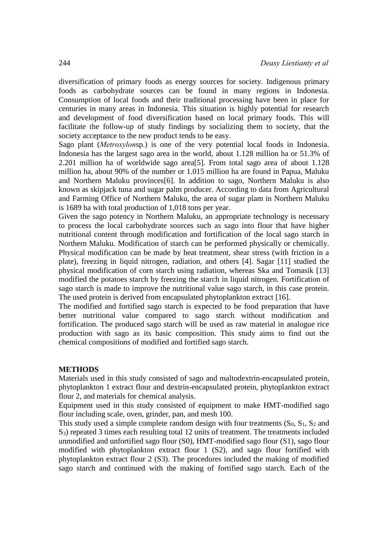diversification of primary foods as energy sources for society. Indigenous primary foods as carbohydrate sources can be found in many regions in Indonesia. Consumption of local foods and their traditional processing have been in place for centuries in many areas in Indonesia. This situation is highly potential for research and development of food diversification based on local primary foods. This will facilitate the follow-up of study findings by socializing them to society, that the society acceptance to the new product tends to be easy.

Sago plant (*Metroxylon*sp.) is one of the very potential local foods in Indonesia. Indonesia has the largest sago area in the world, about 1.128 million ha or 51.3% of 2.201 million ha of worldwide sago area[5]. From total sago area of about 1.128 million ha, about 90% of the number or 1.015 million ha are found in Papua, Maluku and Northern Maluku provinces[6]. In addition to sago, Northern Maluku is also known as skipjack tuna and sugar palm producer. According to data from Agricultural and Farming Office of Northern Maluku, the area of sugar plam in Northern Maluku is 1689 ha with total production of 1,018 tons per year.

Given the sago potency in Northern Maluku, an appropriate technology is necessary to process the local carbohydrate sources such as sago into flour that have higher nutritional content through modification and fortification of the local sago starch in Northern Maluku. Modification of starch can be performed physically or chemically. Physical modification can be made by heat treatment, shear stress (with friction in a plate), freezing in liquid nitrogen, radiation, and others [4]. Sagar [11] studied the physical modification of corn starch using radiation, whereas Ska and Tomasik [13] modified the potatoes starch by freezing the starch in liquid nitrogen. Fortification of sago starch is made to improve the nutritional value sago starch, in this case protein. The used protein is derived from encapsulated phytoplankton extract [16].

The modified and fortified sago starch is expected to be food preparation that have better nutritional value compared to sago starch without modification and fortification. The produced sago starch will be used as raw material in analogue rice production with sago as its basic composition. This study aims to find out the chemical compositions of modified and fortified sago starch.

#### **METHODS**

Materials used in this study consisted of sago and maltodextrin-encapsulated protein, phytoplankton 1 extract flour and dextrin-encapsulated protein, phytoplankton extract flour 2, and materials for chemical analysis.

Equipment used in this study consisted of equipment to make HMT-modified sago flour including scale, oven, grinder, pan, and mesh 100.

This study used a simple complete random design with four treatments  $(S_0, S_1, S_2, A_1)$ S3) repeated 3 times each resulting total 12 units of treatment. The treatments included unmodified and unfortified sago flour (S0), HMT-modified sago flour (S1), sago flour modified with phytoplankton extract flour 1 (S2), and sago flour fortified with phytoplankton extract flour 2 (S3). The procedures included the making of modified sago starch and continued with the making of fortified sago starch. Each of the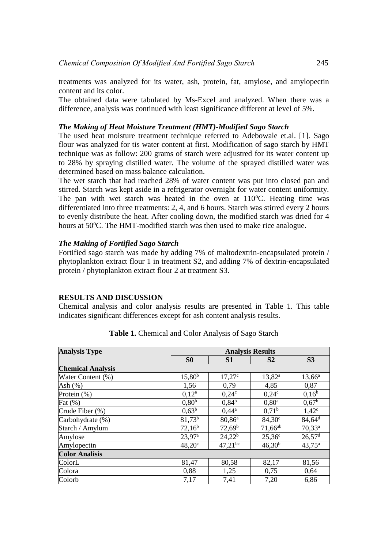treatments was analyzed for its water, ash, protein, fat, amylose, and amylopectin content and its color.

The obtained data were tabulated by Ms-Excel and analyzed. When there was a difference, analysis was continued with least significance different at level of 5%.

# *The Making of Heat Moisture Treatment (HMT)-Modified Sago Starch*

The used heat moisture treatment technique referred to Adebowale et.al. [1]. Sago flour was analyzed for tis water content at first. Modification of sago starch by HMT technique was as follow: 200 grams of starch were adjustred for its water content up to 28% by spraying distilled water. The volume of the sprayed distilled water was determined based on mass balance calculation.

The wet starch that had reached 28% of water content was put into closed pan and stirred. Starch was kept aside in a refrigerator overnight for water content uniformity. The pan with wet starch was heated in the oven at  $110^{\circ}$ C. Heating time was differentiated into three treatments: 2, 4, and 6 hours. Starch was stirred every 2 hours to evenly distribute the heat. After cooling down, the modified starch was dried for 4 hours at 50°C. The HMT-modified starch was then used to make rice analogue.

# *The Making of Fortified Sago Starch*

Fortified sago starch was made by adding 7% of maltodextrin-encapsulated protein / phytoplankton extract flour 1 in treatment S2, and adding 7% of dextrin-encapsulated protein / phytoplankton extract flour 2 at treatment S3.

## **RESULTS AND DISCUSSION**

Chemical analysis and color analysis results are presented in Table 1. This table indicates significant differences except for ash content analysis results.

| <b>Analysis Type</b>     | <b>Analysis Results</b> |                 |                 |                        |
|--------------------------|-------------------------|-----------------|-----------------|------------------------|
|                          | S <sub>0</sub>          | S1              | S <sub>2</sub>  | S <sub>3</sub>         |
| <b>Chemical Analysis</b> |                         |                 |                 |                        |
| Water Content (%)        | $15,80^{b}$             | $17,27^{\circ}$ | $13,82^{\rm a}$ | $13,66^a$              |
| Ash $(\%)$               | 1,56                    | 0,79            | 4,85            | 0,87                   |
| Protein (%)              | $0,12^a$                | $0,24^{\circ}$  | $0,24^\circ$    | $0,16^b$               |
| Fat $(\%)$               | 0,80 <sup>b</sup>       | $0,84^{b}$      | $0,80^{\rm a}$  | $0,67^{\rm b}$         |
| Crude Fiber (%)          | $0,63^b$                | $0,44^{\rm a}$  | $0.71^{\rm b}$  | $1,42^c$               |
| Carbohydrate (%)         | $81,73^{b}$             | $80,86^a$       | $84,30^{\circ}$ | $84,64^d$              |
| Starch / Amylum          | $72,16^b$               | $72,69^b$       | $71,66^{ab}$    | $70,33^a$              |
| Amylose                  | $23,97^{\rm a}$         | $24,22^b$       | $25,36^{\circ}$ | $26,57$ <sup>d</sup>   |
| Amylopectin              | $48,20^{\circ}$         | $47,21^{bc}$    | $46,30^{b}$     | $43,75^{\overline{a}}$ |
| <b>Color Analisis</b>    |                         |                 |                 |                        |
| ColorL                   | 81,47                   | 80,58           | 82,17           | 81,56                  |
| Colora                   | 0,88                    | 1,25            | 0,75            | 0,64                   |
| Colorb                   | 7,17                    | 7,41            | 7,20            | 6,86                   |

**Table 1.** Chemical and Color Analysis of Sago Starch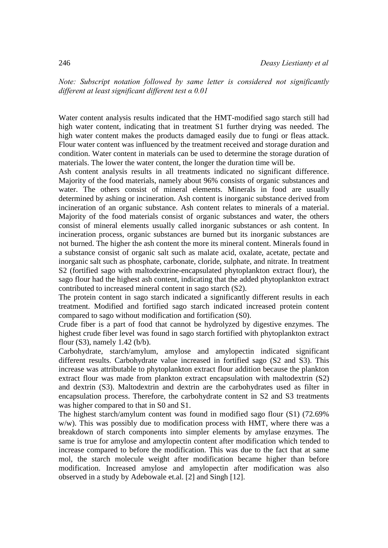*Note: Subscript notation followed by same letter is considered not significantly different at least significant different test α 0.01*

Water content analysis results indicated that the HMT-modified sago starch still had high water content, indicating that in treatment S1 further drying was needed. The high water content makes the products damaged easily due to fungi or fleas attack. Flour water content was influenced by the treatment received and storage duration and condition. Water content in materials can be used to determine the storage duration of materials. The lower the water content, the longer the duration time will be.

Ash content analysis results in all treatments indicated no significant difference. Majority of the food materials, namely about 96% consists of organic substances and water. The others consist of mineral elements. Minerals in food are usually determined by ashing or incineration. Ash content is inorganic substance derived from incineration of an organic substance. Ash content relates to minerals of a material. Majority of the food materials consist of organic substances and water, the others consist of mineral elements usually called inorganic substances or ash content. In incineration process, organic substances are burned but its inorganic substances are not burned. The higher the ash content the more its mineral content. Minerals found in a substance consist of organic salt such as malate acid, oxalate, acetate, pectate and inorganic salt such as phosphate, carbonate, cloride, sulphate, and nitrate. In treatment S2 (fortified sago with maltodextrine-encapsulated phytoplankton extract flour), the sago flour had the highest ash content, indicating that the added phytoplankton extract contributed to increased mineral content in sago starch (S2).

The protein content in sago starch indicated a significantly different results in each treatment. Modified and fortified sago starch indicated increased protein content compared to sago without modification and fortification (S0).

Crude fiber is a part of food that cannot be hydrolyzed by digestive enzymes. The highest crude fiber level was found in sago starch fortified with phytoplankton extract flour  $(S3)$ , namely 1.42  $(b/b)$ .

Carbohydrate, starch/amylum, amylose and amylopectin indicated significant different results. Carbohydrate value increased in fortified sago (S2 and S3). This increase was attributable to phytoplankton extract flour addition because the plankton extract flour was made from plankton extract encapsulation with maltodextrin (S2) and dextrin (S3). Maltodextrin and dextrin are the carbohydrates used as filter in encapsulation process. Therefore, the carbohydrate content in S2 and S3 treatments was higher compared to that in S0 and S1.

The highest starch/amylum content was found in modified sago flour (S1) (72.69% w/w). This was possibly due to modification process with HMT, where there was a breakdown of starch components into simpler elements by amylase enzymes. The same is true for amylose and amylopectin content after modification which tended to increase compared to before the modification. This was due to the fact that at same mol, the starch molecule weight after modification became higher than before modification. Increased amylose and amylopectin after modification was also observed in a study by Adebowale et.al. [2] and Singh [12].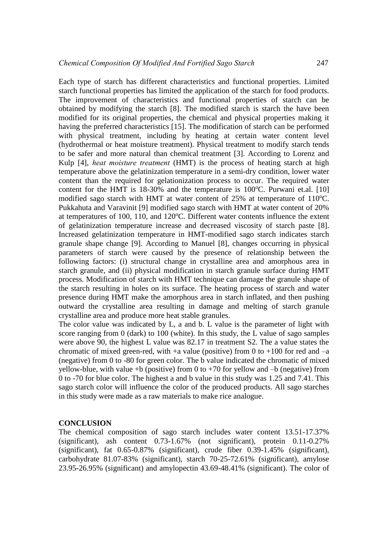Each type of starch has different characteristics and functional properties. Limited starch functional properties has limited the application of the starch for food products. The improvement of characteristics and functional properties of starch can be obtained by modifying the starch [8]. The modified starch is starch the have been modified for its original properties, the chemical and physical properties making it having the preferred characteristics [15]. The modification of starch can be performed with physical treatment, including by heating at certain water content level (hydrothermal or heat moisture treatment). Physical treatment to modify starch tends to be safer and more natural than chemical treatment [3]. According to Lorenz and Kulp [4], *heat moisture treatment* (HMT) is the process of heating starch at high temperature above the gelatinization temperature in a semi-dry condition, lower water content than the required for gelationization process to occur. The required water content for the HMT is  $18-30\%$  and the temperature is  $100^{\circ}$ C. Purwani et.al. [10] modified sago starch with HMT at water content of  $25\%$  at temperature of  $110^{\circ}$ C. Pukkahuta and Varavinit [9] modified sago starch with HMT at water content of 20% at temperatures of 100, 110, and 120 $^{\circ}$ C. Different water contents influence the extent of gelatinization temperature increase and decreased viscosity of starch paste [8]. Increased gelatinization temperature in HMT-modified sago starch indicates starch granule shape change [9]. According to Manuel [8], changes occurring in physical parameters of starch were caused by the presence of relationship between the following factors: (i) structural change in crystalline area and amorphous area in starch granule, and (ii) physical modification in starch granule surface during HMT process. Modification of starch with HMT technique can damage the granule shape of the starch resulting in holes on its surface. The heating process of starch and water presence during HMT make the amorphous area in starch inflated, and then pushing outward the crystalline area resulting in damage and melting of starch granule crystalline area and produce more heat stable granules.

The color value was indicated by L, a and b. L value is the parameter of light with score ranging from 0 (dark) to 100 (white). In this study, the L value of sago samples were above 90, the highest L value was 82.17 in treatment S2. The a value states the chromatic of mixed green-red, with  $+a$  value (positive) from 0 to  $+100$  for red and  $-a$ (negative) from 0 to -80 for green color. The b value indicated the chromatic of mixed yellow-blue, with value +b (positive) from 0 to +70 for yellow and  $-b$  (negative) from 0 to -70 for blue color. The highest a and b value in this study was 1.25 and 7.41. This sago starch color will influence the color of the produced products. All sago starches in this study were made as a raw materials to make rice analogue.

## **CONCLUSION**

The chemical composition of sago starch includes water content 13.51-17.37% (significant), ash content 0.73-1.67% (not significant), protein 0.11-0.27% (significant), fat 0.65-0.87% (significant), crude fiber 0.39-1.45% (significant), carbohydrate 81.07-83% (significant), starch 70-25-72.61% (significant), amylose 23.95-26.95% (significant) and amylopectin 43.69-48.41% (significant). The color of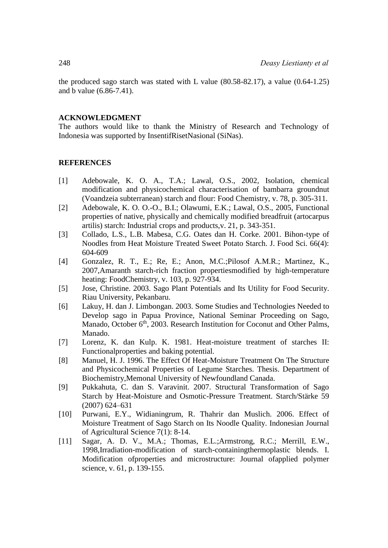the produced sago starch was stated with L value (80.58-82.17), a value (0.64-1.25) and b value (6.86-7.41).

## **ACKNOWLEDGMENT**

The authors would like to thank the Ministry of Research and Technology of Indonesia was supported by InsentifRisetNasional (SiNas).

#### **REFERENCES**

- [1] Adebowale, K. O. A., T.A.; Lawal, O.S., 2002, Isolation, chemical modification and physicochemical characterisation of bambarra groundnut (Voandzeia subterranean) starch and flour: Food Chemistry, v. 78, p. 305-311.
- [2] Adebowale, K. O. O.-O., B.I.; Olawumi, E.K.; Lawal, O.S., 2005, Functional properties of native, physically and chemically modified breadfruit (artocarpus artilis) starch: Industrial crops and products,v. 21, p. 343-351.
- [3] Collado, L.S., L.B. Mabesa, C.G. Oates dan H. Corke. 2001. Bihon-type of Noodles from Heat Moisture Treated Sweet Potato Starch. J. Food Sci. 66(4): 604-609
- [4] Gonzalez, R. T., E.; Re, E.; Anon, M.C.;Pilosof A.M.R.; Martinez, K., 2007,Amaranth starch-rich fraction propertiesmodified by high-temperature heating: FoodChemistry, v. 103, p. 927-934.
- [5] Jose, Christine. 2003. Sago Plant Potentials and Its Utility for Food Security. Riau University, Pekanbaru.
- [6] Lakuy, H. dan J. Limbongan. 2003. Some Studies and Technologies Needed to Develop sago in Papua Province, National Seminar Proceeding on Sago, Manado, October 6<sup>th</sup>, 2003. Research Institution for Coconut and Other Palms, Manado.
- [7] Lorenz, K. dan Kulp. K. 1981. Heat-moisture treatment of starches II: Functionalproperties and baking potential.
- [8] Manuel, H. J. 1996. The Effect Of Heat-Moisture Treatment On The Structure and Physicochemical Properties of Legume Starches. Thesis. Department of Biochemistry,Memonal University of Newfoundland Canada.
- [9] Pukkahuta, C. dan S. Varavinit. 2007. Structural Transformation of Sago Starch by Heat-Moisture and Osmotic-Pressure Treatment. Starch/Stärke 59 (2007) 624–631
- [10] Purwani, E.Y., Widianingrum, R. Thahrir dan Muslich. 2006. Effect of Moisture Treatment of Sago Starch on Its Noodle Quality. Indonesian Journal of Agricultural Science 7(1): 8-14.
- [11] Sagar, A. D. V., M.A.; Thomas, E.L.;Armstrong, R.C.; Merrill, E.W., 1998,Irradiation-modification of starch-containingthermoplastic blends. I. Modification ofproperties and microstructure: Journal ofapplied polymer science, v. 61, p. 139-155.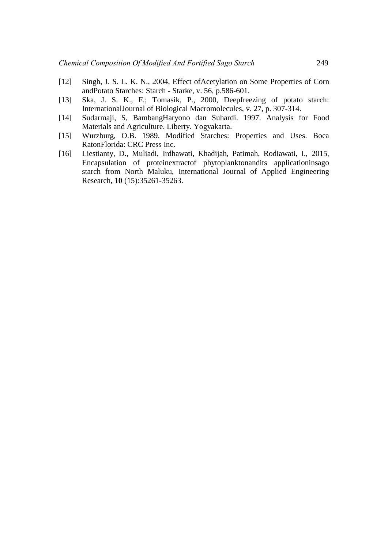- [12] Singh, J. S. L. K. N., 2004, Effect ofAcetylation on Some Properties of Corn andPotato Starches: Starch - Starke, v. 56, p.586-601.
- [13] Ska, J. S. K., F.; Tomasik, P., 2000, Deepfreezing of potato starch: InternationalJournal of Biological Macromolecules, v. 27, p. 307-314.
- [14] Sudarmaji, S, BambangHaryono dan Suhardi. 1997. Analysis for Food Materials and Agriculture. Liberty. Yogyakarta.
- [15] Wurzburg, O.B. 1989. Modified Starches: Properties and Uses. Boca RatonFlorida: CRC Press Inc.
- [16] Liestianty, D., Muliadi, Irdhawati, Khadijah, Patimah, Rodiawati, I., 2015, Encapsulation of proteinextractof phytoplanktonandits applicationinsago starch from North Maluku, International Journal of Applied Engineering Research, **10** (15):35261-35263.